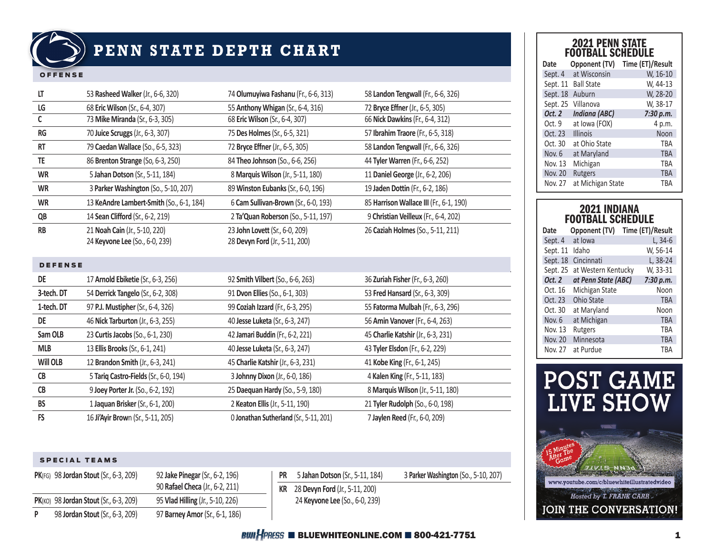

# **PENN STATE DEPTH CHART**

#### OFFENSE

| LT              | 53 Rasheed Walker (Jr., 6-6, 320)                               | 74 Olumuyiwa Fashanu (Fr., 6-6, 313)                             | 58 Landon Tengwall (Fr., 6-6, 326)      |
|-----------------|-----------------------------------------------------------------|------------------------------------------------------------------|-----------------------------------------|
| LG              | 68 Eric Wilson (Sr., 6-4, 307)                                  | 55 Anthony Whigan (Sr., 6-4, 316)                                | 72 Bryce Effner (Jr., 6-5, 305)         |
| C               | 73 Mike Miranda (Sr., 6-3, 305)                                 | 68 Eric Wilson (Sr., 6-4, 307)                                   | 66 Nick Dawkins (Fr., 6-4, 312)         |
| <b>RG</b>       | 70 Juice Scruggs (Jr., 6-3, 307)                                | 75 Des Holmes (Sr., 6-5, 321)                                    | 57 Ibrahim Traore (Fr., 6-5, 318)       |
| RT              | 79 Caedan Wallace (So., 6-5, 323)                               | 72 Bryce Effner (Jr., 6-5, 305)                                  | 58 Landon Tengwall (Fr., 6-6, 326)      |
| TE              | 86 Brenton Strange (So, 6-3, 250)                               | 84 Theo Johnson (So., 6-6, 256)                                  | 44 Tyler Warren (Fr., 6-6, 252)         |
| <b>WR</b>       | 5 Jahan Dotson (Sr., 5-11, 184)                                 | 8 Marquis Wilson (Jr., 5-11, 180)                                | 11 Daniel George (Jr., 6-2, 206)        |
| <b>WR</b>       | 3 Parker Washington (So., 5-10, 207)                            | 89 Winston Eubanks (Sr., 6-0, 196)                               | 19 Jaden Dottin (Fr., 6-2, 186)         |
| WR              | 13 KeAndre Lambert-Smith (So., 6-1, 184)                        | 6 Cam Sullivan-Brown (Sr., 6-0, 193)                             | 85 Harrison Wallace III (Fr., 6-1, 190) |
| QB              | 14 Sean Clifford (Sr., 6-2, 219)                                | 2 Ta'Quan Roberson (So., 5-11, 197)                              | 9 Christian Veilleux (Fr., 6-4, 202)    |
| <b>RB</b>       | 21 Noah Cain (Jr., 5-10, 220)<br>24 Keyvone Lee (So., 6-0, 239) | 23 John Lovett (Sr., 6-0, 209)<br>28 Devyn Ford (Jr., 5-11, 200) | 26 Caziah Holmes (So., 5-11, 211)       |
| <b>DEFENSE</b>  |                                                                 |                                                                  |                                         |
| DE              | 17 Arnold Ebiketie (Sr., 6-3, 256)                              | 92 Smith Vilbert (So., 6-6, 263)                                 | 36 Zuriah Fisher (Fr., 6-3, 260)        |
| 3-tech. DT      | 54 Derrick Tangelo (Sr., 6-2, 308)                              | 91 Dvon Ellies (So., 6-1, 303)                                   | 53 Fred Hansard (Sr., 6-3, 309)         |
| 1-tech. DT      | 97 P.J. Mustipher (Sr., 6-4, 326)                               | 99 Coziah Izzard (Fr., 6-3, 295)                                 | 55 Fatorma Mulbah (Fr., 6-3, 296)       |
| DE              | 46 Nick Tarburton (Jr., 6-3, 255)                               | 40 Jesse Luketa (Sr., 6-3, 247)                                  | 56 Amin Vanover (Fr., 6-4, 263)         |
| Sam OLB         | 23 Curtis Jacobs (So., 6-1, 230)                                | 42 Jamari Buddin (Fr., 6-2, 221)                                 | 45 Charlie Katshir (Jr., 6-3, 231)      |
| <b>MLB</b>      | 13 Ellis Brooks (Sr., 6-1, 241)                                 | 40 Jesse Luketa (Sr., 6-3, 247)                                  | 43 Tyler Elsdon (Fr., 6-2, 229)         |
| <b>Will OLB</b> | 12 Brandon Smith (Jr., 6-3, 241)                                | 45 Charlie Katshir (Jr., 6-3, 231)                               | 41 Kobe King (Fr., 6-1, 245)            |
| CB              | 5 Tariq Castro-Fields (Sr., 6-0, 194)                           | 3 Johnny Dixon (Jr., 6-0, 186)                                   | 4 Kalen King (Fr., 5-11, 183)           |
| CB              | 9 Joey Porter Jr. (So., 6-2, 192)                               | 25 Daequan Hardy (So., 5-9, 180)                                 | 8 Marquis Wilson (Jr., 5-11, 180)       |
| <b>BS</b>       | 1 Jaquan Brisker (Sr., 6-1, 200)                                | 2 Keaton Ellis (Jr., 5-11, 190)                                  | 21 Tyler Rudolph (So., 6-0, 198)        |
| <b>FS</b>       | 16 Ji'Ayir Brown (Sr., 5-11, 205)                               | 0 Jonathan Sutherland (Sr., 5-11, 201)                           | 7 Jaylen Reed (Fr., 6-0, 209)           |

#### SPECIAL TEAMS

|   | <b>PK(FG)</b> 98 Jordan Stout (Sr., 6-3, 209) | 92 Jake Pinegar (Sr., 6-2, 196)  |
|---|-----------------------------------------------|----------------------------------|
|   |                                               | 90 Rafael Checa (Jr., 6-2, 211)  |
|   | PK(KO) 98 Jordan Stout (Sr., 6-3, 209)        | 95 Vlad Hilling (Jr., 5-10, 226) |
| P | 98 Jordan Stout (Sr., 6-3, 209)               | 97 Barney Amor (Sr., 6-1, 186)   |

**PR** 5 **Jahan Dotson** (Sr., 5-11, 184) 3 **Parker Washington** (So., 5-10, 207) **KR** 28 **Devyn Ford** (Jr., 5-11, 200) 24 **Keyvone Lee** (So., 6-0, 239)

## 2021 PENN STATE FOOTBALL SCHEDULE

| Date           | Opponent (TV)        | Time (ET)/Result |
|----------------|----------------------|------------------|
| Sept. 4        | at Wisconsin         | W, 16-10         |
| Sept. 11       | <b>Ball State</b>    | W, 44-13         |
| Sept. 18       | Auburn               | W, 28-20         |
| Sept. 25       | Villanova            | W, 38-17         |
| Oct. 2         | <b>Indiana (ABC)</b> | 7:30 p.m.        |
| Oct. 9         | at Iowa (FOX)        | 4 p.m.           |
| Oct. 23        | <b>Illinois</b>      | Noon             |
| Oct. 30        | at Ohio State        | TBA              |
| Nov. 6         | at Maryland          | <b>TBA</b>       |
| Nov. 13        | Michigan             | <b>TBA</b>       |
| <b>Nov. 20</b> | <b>Rutgers</b>       | <b>TBA</b>       |
| Nov. 27        | at Michigan State    | TBA              |

## 2021 INDIANA FOOTBALL SCHEDULE

| Date     | Opponent (TV)       | Time (ET)/Result |
|----------|---------------------|------------------|
| Sept. 4  | at Iowa             | $L, 34-6$        |
| Sept. 11 | Idaho               | W, 56-14         |
| Sept. 18 | Cincinnati          | L, 38-24         |
| Sept. 25 | at Western Kentucky | W, 33-31         |
| Oct. 2   | at Penn State (ABC) | 7:30 p.m.        |
| Oct. 16  | Michigan State      | Noon             |
| Oct. 23  | Ohio State          | <b>TBA</b>       |
| Oct. 30  | at Maryland         | Noon             |
| Nov. 6   | at Michigan         | <b>TBA</b>       |
| Nov. 13  | Rutgers             | <b>TBA</b>       |
| Nov. 20  | Minnesota           | <b>TBA</b>       |
| Nov. 27  | at Purdue           | TBA              |



## $B$ *UJI*  $\frac{1}{2}$ *PRESS* **E** BLUEWHITEONLINE.COM **E** 800-421-7751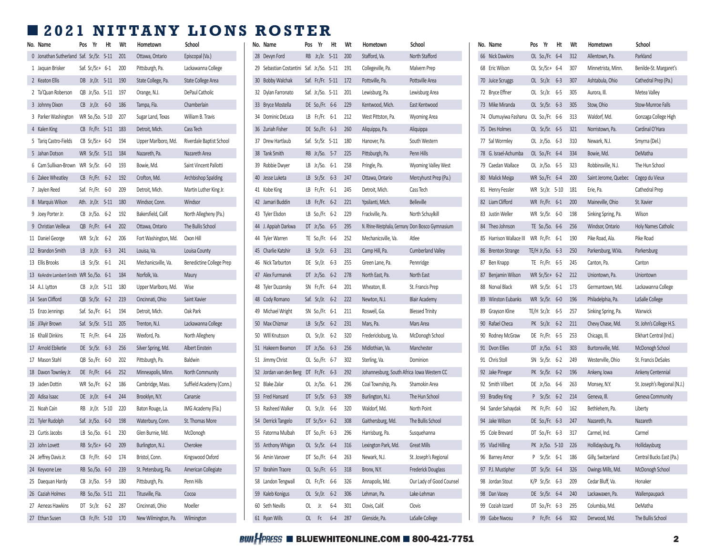## ■ **2021 NITTANY LIONS ROSTER**

| No. Name                                    | Pos Yr                | Ht | Wt  | Hometown             | School                          | No. Name                                      | Pos Yr | Ht                    | Wt | Hometown                                                 | School                                           | No. Name                                | Pos | Yr                   | Ht  | Wt      | Hometown             |
|---------------------------------------------|-----------------------|----|-----|----------------------|---------------------------------|-----------------------------------------------|--------|-----------------------|----|----------------------------------------------------------|--------------------------------------------------|-----------------------------------------|-----|----------------------|-----|---------|----------------------|
| 0 Jonathan Sutherland Saf. Sr./Sr. 5-11 201 |                       |    |     | Ottawa, Ontario      | Episcopal (Va.)                 | 28 Devyn Ford                                 |        | RB Jr./Jr. 5-11 200   |    | Stafford, Va.                                            | North Stafford                                   | 66 Nick Dawkins                         |     | OL So./Fr. 6-4 312   |     |         | Allentown, Pa.       |
| 1 Jaquan Brisker                            | Saf. Sr./Sr.+ $6-1$   |    | 200 | Pittsburgh, Pa.      | Lackawanna College              | 29 Sebastian Costantini Saf. Jr./So. 5-11 191 |        |                       |    | Collegeville, Pa.                                        | Malvern Prep                                     | 68 Eric Wilson                          |     | OL Sr./Sr.+ 6-4      |     | 307     | Minnetrista, Minn.   |
| 2 Keaton Ellis                              | DB Jr./Jr. 5-11 190   |    |     | State College, Pa.   | State College Area              | 30 Bobby Walchak                              |        | Saf. Fr./Fr. 5-11 172 |    | Pottsville, Pa.                                          | Pottsville Area                                  | 70 Juice Scruggs                        |     | OL Sr./Jr. 6-3 307   |     |         | Ashtabula, Ohio      |
| 2 Ta'Quan Roberson                          | QB Jr./So. 5-11 197   |    |     | Orange, N.J.         | DePaul Catholic                 | 32 Dylan Farronato                            |        | Saf. Jr./So. 5-11 201 |    | Lewisburg, Pa.                                           | Lewisburg Area                                   | 72 Bryce Effner                         |     | OL Sr./Jr.           | 6-5 | 305     | Aurora, III.         |
| 3 Johnny Dixon                              | $CB$ Jr./Jr. $6-0$    |    | 186 | Tampa, Fla.          | Chamberlain                     | 33 Bryce Mostella                             |        | DE So./Fr. 6-6 229    |    | Kentwood, Mich.                                          | East Kentwood                                    | 73 Mike Miranda                         |     | OL Sr./Sr. 6-3 305   |     |         | Stow, Ohio           |
| 3 Parker Washington                         | WR So./So. 5-10 207   |    |     | Sugar Land, Texas    | William B. Travis               | 34 Dominic DeLuca                             |        | LB Fr./Fr. 6-1 212    |    | West Pittston, Pa.                                       | <b>Wyoming Area</b>                              | 74 Olumuyiwa Fashanu OL So./Fr. 6-6 313 |     |                      |     |         | Waldorf, Md.         |
| 4 Kalen King                                | CB Fr./Fr. 5-11 183   |    |     | Detroit, Mich.       | Cass Tech                       | 36 Zuriah Fisher                              |        | DE So./Fr. 6-3 260    |    | Aliquippa, Pa.                                           | Aliquippa                                        | 75 Des Holmes                           |     | OL Sr./Sr. 6-5 321   |     |         | Norristown, Pa.      |
| 5 Tariq Castro-Fields                       | $CB$ Sr./Sr.+ 6-0     |    | 194 | Upper Marlboro, Md.  | Riverdale Baptist School        | 37 Drew Hartlaub                              |        | Saf. Sr./Sr. 5-11 180 |    | Hanover. Pa.                                             | South Western                                    | 77 Sal Wormley                          |     | OL Jr./So. 6-3 310   |     |         | Newark, N.J.         |
| 5 Jahan Dotson                              | WR Sr./Sr. 5-11 184   |    |     | Nazareth, Pa.        | Nazareth Area                   | 38 Tank Smith                                 |        | RB Jr./So. 5-7 225    |    | Pittsburgh, Pa.                                          | Penn Hills                                       | 78 G. Israel-Achumba                    |     | OL So./Fr. 6-4 334   |     |         | Bowie, Md.           |
| 6 Cam Sullivan-Brown WR Sr./Sr. 6-0         |                       |    | 193 | Bowie, Md.           | Saint Vincent Pallotti          | 39 Robbie Dwyer                               |        | LB Jr./So. 6-1 258    |    | Pringle, Pa.                                             | Wyoming Valley West                              | 79 Caedan Wallace                       |     | OL Jr./So. 6-5 323   |     |         | Robbinsville, N.J.   |
| 6 Zakee Wheatley                            | CB Fr./Fr. 6-2        |    | 192 | Crofton, Md.         | Archbishop Spalding             | 40 Jesse Luketa                               |        | LB Sr./Sr. 6-3 247    |    | Ottawa, Ontario                                          | Mercyhurst Prep (Pa.)                            | 80 Malick Meiga                         |     | WR So./Fr. 6-4 200   |     |         | Saint Jerome, Quebec |
| 7 Jaylen Reed                               | Saf. Fr./Fr. 6-0      |    | 209 | Detroit, Mich.       | Martin Luther King Jr.          | 41 Kobe King                                  |        | LB Fr./Fr. 6-1 245    |    | Detroit, Mich.                                           | Cass Tech                                        | 81 Henry Fessler                        |     | WR Sr./Jr. 5-10 181  |     |         | Erie, Pa.            |
| 8 Marquis Wilson                            | Ath. Jr./Jr. 5-11 180 |    |     | Windsor, Conn.       | Windsor                         | 42 Jamari Buddin                              |        | LB Fr./Fr. 6-2 221    |    | Ypsilanti, Mich.                                         | <b>Belleville</b>                                | 82 Liam Clifford                        |     | WR Fr./Fr. 6-1 200   |     |         | Maineville, Ohio     |
| 9 Joey Porter Jr.                           | CB Jr./So. 6-2        |    | 192 | Bakersfield, Calif.  | North Allegheny (Pa.)           | 43 Tyler Elsdon                               |        | LB So./Fr. 6-2 229    |    | Frackville, Pa.                                          | North Schuylkill                                 | 83 Justin Weller                        |     | WR Sr./Sr. 6-0       |     | 198     | Sinking Spring, Pa.  |
| 9 Christian Veilleux                        | QB Fr./Fr. 6-4        |    | 202 | Ottawa, Ontario      | The Bullis School               | 44 J. Appiah Darkwa                           |        | DT Jr./So. 6-5 295    |    |                                                          | N. Rhine-Westphalia, Germany Don Bosco Gymnasium | 84 Theo Johnson                         |     | TE So./So. 6-6 256   |     |         | Windsor, Ontario     |
| 11 Daniel George                            | WR Sr./Jr. 6-2 206    |    |     | Fort Washington, Md. | Oxon Hill                       | 44 Tyler Warren                               |        | TE So./Fr. 6-6 252    |    | Mechanicsville, Va.                                      | Atlee                                            | 85 Harrison Wallace III                 |     | WR Fr./Fr. 6-1 190   |     |         | Pike Road, Ala.      |
| 12 Brandon Smith                            | LB Jr./Jr. $6-3$      |    | 241 | Louisa, Va.          | Louisa County                   | 45 Charlie Katshir                            |        | LB Sr./Jr. 6-3 231    |    | Camp Hill, Pa.                                           | Cumberland Valley                                | 86 Brenton Strange                      |     | TE/H Jr./So. 6-3 250 |     |         | Parkersburg, W.Va.   |
| 13 Ellis Brooks                             | LB Sr./Sr. 6-1        |    | 241 | Mechanicsville, Va.  | <b>Benedictine College Prep</b> | 46 Nick Tarburton                             |        | DE Sr./Jr. 6-3 255    |    | Green Lane, Pa.                                          | Pennridge                                        | 87 Ben Knapp                            |     | TE Fr./Fr. 6-5 245   |     |         | Canton, Pa.          |
| 13 KeAndre Lambert-Smith WR So./So. 6-1 184 |                       |    |     | Norfolk, Va.         | Maury                           | 47 Alex Furmanek                              |        | DT Jr./So. 6-2 278    |    | North East, Pa.                                          | North East                                       | 87 Benjamin Wilson                      |     | WR Sr./Sr.+ 6-2 212  |     |         | Uniontown, Pa.       |
| 14 A.J. Lytton                              | CB Jr./Jr. 5-11 180   |    |     | Upper Marlboro, Md.  | Wise                            | 48 Tyler Duzansky                             |        | SN Fr./Fr. 6-4 201    |    | Wheaton, Ill.                                            | St. Francis Prep                                 | 88 Norval Black                         |     | WR Sr./Sr. 6-1 173   |     |         | Germantown, Md.      |
| 14 Sean Clifford                            | QB Sr./Sr. 6-2        |    | 219 | Cincinnati, Ohio     | Saint Xavier                    | 48 Cody Romano                                |        | Saf. Sr./Jr. 6-2 222  |    | Newton, N.J.                                             | <b>Blair Academy</b>                             | 89 Winston Eubanks                      |     | WR Sr./Sr.           |     | 6-0 196 | Philadelphia, Pa.    |
| 15 Enzo Jennings                            | Saf. So./Fr. 6-1      |    | 194 | Detroit, Mich.       | Oak Park                        | 49 Michael Wright                             |        | SN So./Fr. 6-1 211    |    | Roswell, Ga.                                             | <b>Blessed Trinity</b>                           | 89 Grayson Kline                        |     | TE/H Sr./Jr. 6-5 257 |     |         | Sinking Spring, Pa.  |
| 16 Ji'Ayir Brown                            | Saf. Sr./Sr. 5-11 205 |    |     | Trenton, N.J.        | Lackawanna College              | 50 Max Chizmar                                |        | LB Sr./Sr. 6-2 231    |    | Mars, Pa.                                                | Mars Area                                        | 90 Rafael Checa                         |     | PK Sr./Jr. 6-2 211   |     |         | Chevy Chase, Md.     |
| 16 Khalil Dinkins                           | TE Fr./Fr. 6-4        |    | 226 | Wexford, Pa.         | North Allegheny                 | 50 WIll Knutsson                              |        | OL Sr./Jr. 6-2 320    |    | Fredericksburg, Va.                                      | McDonogh School                                  | 90 Rodney McGraw                        |     | DE Fr./Fr. 6-5 253   |     |         | Chicago, Ill.        |
| 17 Arnold Ebiketie                          | DE Sr./Sr. 6-3        |    | 256 | Silver Spring, Md.   | Albert Einstein                 | 51 Hakeem Beamon                              |        | DT Jr./So. 6-3 256    |    | Midlothian, Va.                                          | Manchester                                       | 91 Dvon Ellies                          |     | DT Jr./So. 6-1 303   |     |         | Burtonsville, Md.    |
| 17 Mason Stahl                              | QB So./Fr. 6-0        |    | 202 | Pittsburgh, Pa.      | Baldwin                         | 51 Jimmy Christ                               |        | OL So./Fr. 6-7 302    |    | Sterling, Va.                                            | Dominion                                         | 91 Chris Stoll                          |     | SN Sr./Sr. 6-2 249   |     |         | Westerville, Ohio    |
| 18 Davon Townley Jr.                        | DE Fr./Fr. 6-6        |    | 252 | Minneapolis, Minn.   | North Community                 | 52 Jordan van den Berg DT Fr./Fr. 6-3 292     |        |                       |    | Johannesburg, South Africa Iowa Western CC               |                                                  | 92 Jake Pinegar                         |     | PK Sr./Sr. 6-2 196   |     |         | Ankeny, Iowa         |
| 19 Jaden Dottin                             | WR So./Fr. 6-2        |    | 186 | Cambridge, Mass.     | Suffield Academy (Conn.)        | 52 Blake Zalar                                |        | OL Jr./So. 6-1 296    |    | Coal Township, Pa.                                       | Shamokin Area                                    | 92 Smith Vilbert                        |     | DE Jr./So. 6-6 263   |     |         | Monsey, N.Y.         |
| 20 Adisa Isaac                              | DE Jr./Jr. 6-4        |    | 244 | Brooklyn, N.Y.       | Canarsie                        | 53 Fred Hansard                               |        | DT Sr./Sr. 6-3 309    |    | Burlington, N.J.                                         | The Hun School                                   | 93 Bradley King                         |     | P Sr./Sr. 6-2 214    |     |         | Geneva, Ill.         |
| 21 Noah Cain                                | RB Jr./Jr. 5-10       |    | 220 | Baton Rouge, La.     | IMG Academy (Fla.)              | 53 Rasheed Walker                             |        | OL Sr./Jr. 6-6 320    |    | Waldorf, Md.                                             | North Point                                      | 94 Sander Sahaydak                      |     | PK Fr./Fr.           | 6-0 | 162     | Bethlehem, Pa.       |
| 21 Tyler Rudolph                            | Saf. Jr./So. 6-0      |    | 198 | Waterbury, Conn.     | St. Thomas More                 | 54 Derrick Tangelo                            |        | DT Sr./Sr.+ 6-2 308   |    | Gaithersburg, Md.                                        | The Bullis School                                | 94 Jake Wilson                          |     | DE So./Fr. 6-3 247   |     |         | Nazareth, Pa.        |
| 23 Curtis Jacobs                            | LB So./So. 6-1 230    |    |     | Glen Burnie, Md.     | McDonogh                        | 55 Fatorma Mulbah                             |        | DT So./Fr. 6-3 296    |    | Harrisburg, Pa.                                          | Susquehanna                                      | 95 Cole Brevard                         |     | DT So./Fr. 6-3 317   |     |         | Carmel, Ind.         |
| 23 John Lovett                              | RB Sr./Sr.+ 6-0 209   |    |     | Burlington, N.J.     | Cherokee                        |                                               |        |                       |    | 55 Anthony Whigan OL Sr./Sr. 6-4 316 Lexington Park, Md. | <b>Great Mills</b>                               | 95 Vlad Hilling                         |     | PK Jr./So. 5-10 226  |     |         | Hollidaysburg, Pa.   |
| 24 Jeffrey Davis Jr.                        | CB Fr./Fr. 6-0 174    |    |     | Bristol, Conn.       | Kingswood Oxford                | 56 Amin Vanover                               |        | DT So./Fr. 6-4 263    |    | Newark, N.J.                                             | St. Joseph's Regional                            | 96 Barney Amor                          |     | P Sr./Sr. 6-1 186    |     |         | Gilly, Switzerland   |
| 24 Keyvone Lee                              | RB So./So. 6-0 239    |    |     | St. Petersburg, Fla. | American Collegiate             | 57 Ibrahim Traore                             |        | OL So./Fr. 6-5 318    |    | Bronx, N.Y.                                              | Frederick Douglass                               | 97 P.J. Mustipher                       |     | DT Sr./Sr. 6-4 326   |     |         | Owings Mills, Md.    |
| 25 Daequan Hardy                            | CB Jr./So. 5-9 180    |    |     | Pittsburgh, Pa.      | Penn Hills                      | 58 Landon Tengwall                            |        | OL Fr./Fr. 6-6 326    |    | Annapolis, Md.                                           | Our Lady of Good Counsel                         | 98 Jordan Stout                         |     | K/P Sr./Sr. 6-3 209  |     |         | Cedar Bluff, Va.     |
| 26 Caziah Holmes                            | RB So./So. 5-11 211   |    |     | Titusville, Fla.     | Cocoa                           | 59 Kaleb Konigus                              |        | OL Sr./Jr. 6-2 306    |    | Lehman, Pa.                                              | Lake-Lehman                                      | 98 Dan Vasey                            |     | DE Sr./Sr. 6-4 240   |     |         | Lackawaxen, Pa.      |
| 27 Aeneas Hawkins                           | DT Sr./Jr. 6-2 287    |    |     | Cincinnati, Ohio     | Moeller                         | 60 Seth Nevills                               |        | OL Jr. 6-4 301        |    | Clovis, Calif.                                           | Clovis                                           | 99 Coziah Izzard                        |     | DT So./Fr. 6-3 295   |     |         | Columbia, Md.        |
| 27 Ethan Susen                              | CB Fr./Fr. 5-10 170   |    |     | New Wilmington, Pa.  | Wilmington                      | 61 Ryan Wills                                 |        | OL Fr. 6-4 287        |    | Glenside, Pa.                                            | LaSalle College                                  | 99 Gabe Nwosu                           |     | P Fr./Fr. 6-6 302    |     |         | Derwood, Md.         |

|    | No. Name              | Pos | Yr                | Ht       | Wt  | Hometown                                         | School                     |
|----|-----------------------|-----|-------------------|----------|-----|--------------------------------------------------|----------------------------|
| 28 | Devyn Ford            | RB  | Jr/Jr.            | $5 - 11$ | 200 | Stafford, Va.                                    | North Stafford             |
| 29 | Sebastian Costantini  |     | Saf. Jr./So. 5-11 |          | 191 | Collegeville, Pa.                                | Malvern Prep               |
| 30 | <b>Bobby Walchak</b>  |     | Saf. Fr./Fr. 5-11 |          | 172 | Pottsville, Pa.                                  | Pottsville Area            |
| 32 | Dylan Farronato       |     | Saf. Jr./So. 5-11 |          | 201 | Lewisburg, Pa.                                   | Lewisburg Area             |
| 33 | <b>Bryce Mostella</b> |     | DE So./Fr.        | $6-6$    | 229 | Kentwood, Mich.                                  | East Kentwood              |
| 34 | Dominic DeLuca        | LB  | Fr./Fr.           | $6-1$    | 212 | West Pittston, Pa.                               | <b>Wyoming Area</b>        |
| 36 | Zuriah Fisher         |     | DE So./Fr.        | $6 - 3$  | 260 | Aliquippa, Pa.                                   | Aliquippa                  |
| 37 | Drew Hartlaub         |     | Saf. Sr./Sr. 5-11 |          | 180 | Hanover, Pa.                                     | South Western              |
| 38 | <b>Tank Smith</b>     |     | RB Jr./So.        | $5 - 7$  | 225 | Pittsburgh, Pa.                                  | Penn Hills                 |
| 39 | Robbie Dwyer          | LB  | Jr./So.           | $6-1$    | 258 | Pringle, Pa.                                     | <b>Wyoming Valley West</b> |
| 40 | Jesse Luketa          | LB  | Sr/Sr.            | $6 - 3$  | 247 | Ottawa, Ontario                                  | Mercyhurst Prep (Pa.)      |
| 41 | Kobe King             | LB  | Fr./Fr.           | $6-1$    | 245 | Detroit, Mich.                                   | Cass Tech                  |
| 42 | Jamari Buddin         | LB  | Fr./Fr.           | $6 - 2$  | 221 | Ypsilanti, Mich.                                 | <b>Belleville</b>          |
| 43 | <b>Tyler Elsdon</b>   | LB  | So./Fr.           | $6 - 2$  | 229 | Frackville, Pa.                                  | North Schuylkill           |
| 44 | J. Appiah Darkwa      | DT  | Jr./So.           | $6-5$    | 295 | N. Rhine-Westphalia, Germany Don Bosco Gymnasium |                            |
| 44 | <b>Tyler Warren</b>   | TE  | So./Fr.           | 6-6      | 252 | Mechanicsville, Va.                              | Atlee                      |
| 45 | Charlie Katshir       | LB  | Sr/Jr.            | $6-3$    | 231 | Camp Hill, Pa.                                   | <b>Cumberland Valley</b>   |
| 46 | Nick Tarburton        | DE  | Sr./Jr.           | $6-3$    | 255 | Green Lane, Pa.                                  | Pennridge                  |
| 47 | Alex Furmanek         |     | DT $Jr/So.$       | $6 - 2$  | 278 | North East, Pa.                                  | North East                 |
| 48 | <b>Tyler Duzansky</b> |     | SN Fr./Fr.        | $6 - 4$  | 201 | Wheaton, Ill.                                    | St. Francis Prep           |
| 48 | Cody Romano           |     | Saf. Sr./Jr.      | $6 - 2$  | 222 | Newton, N.J.                                     | <b>Blair Academy</b>       |
| 49 | Michael Wright        |     | SN So./Fr.        | $6-1$    | 211 | Roswell, Ga.                                     | <b>Blessed Trinity</b>     |
| 50 | Max Chizmar           | LB  | Sr/Sr.            | $6 - 2$  | 231 | Mars, Pa.                                        | Mars Area                  |
| 50 | <b>WIII Knutsson</b>  | ΟL  | Sr./Jr.           | $6-2$    | 320 | Fredericksburg, Va.                              | McDonogh School            |
| 51 | Hakeem Beamon         | DT  | $Jr$ /So.         | $6-3$    | 256 | Midlothian, Va.                                  | Manchester                 |
| 51 | Jimmy Christ          |     | OL So./Fr.        | $6 - 7$  | 302 | Sterling, Va.                                    | Dominion                   |
| 52 | Jordan van den Berg   | DT  | Fr./Fr.           | $6 - 3$  | 292 | Johannesburg, South Africa Iowa Western CC       |                            |
| 52 | <b>Blake Zalar</b>    |     | OL Jr./So.        | $6-1$    | 296 | Coal Township, Pa.                               | Shamokin Area              |
| 53 | <b>Fred Hansard</b>   | DT  | $Sr/Sr$ .         | $6-3$    | 309 | Burlington, N.J.                                 | The Hun School             |
| 53 | Rasheed Walker        | OL  | Sr./Jr.           | 6-6      | 320 | Waldorf, Md.                                     | North Point                |
| 54 | Derrick Tangelo       |     | DT $Sr./Sr.+$     | $6 - 2$  | 308 | Gaithersburg, Md.                                | The Bullis School          |
| 55 | Fatorma Mulbah        |     | DT So./Fr.        | 6-3      | 296 | Harrisburg, Pa.                                  | Susquehanna                |
| 55 | Anthony Whigan        | OL. | Sr/Sr.            | $6 - 4$  | 316 | Lexington Park, Md.                              | Great Mills                |
|    | 56 Amin Vanover       |     | DT So./Fr.        | $6 - 4$  | 263 | Newark, N.J.                                     | St. Joseph's Regional      |
| 57 | Ibrahim Traore        |     | OL So./Fr.        | $6-5$    | 318 | Bronx, N.Y.                                      | <b>Frederick Douglass</b>  |
| 58 | Landon Tengwall       |     | OL Fr./Fr.        | 6-6      | 326 | Annapolis, Md.                                   | Our Lady of Good Counsel   |
| 59 | Kaleb Konigus         | OL  | Sr/Jr.            | $6-2$    | 306 | Lehman, Pa.                                      | Lake-Lehman                |
| 60 | Seth Nevills          | OL  | Jr.               | $6 - 4$  | 301 | Clovis, Calif.                                   | Clovis                     |
| 61 | <b>Ryan Wills</b>     | OL  | Fr.               | $6 - 4$  | 287 | Glenside, Pa.                                    | LaSalle College            |

|    | Vo. Name                | Pos | Yr              | Ht       | Wt  | Hometown             | School                       |
|----|-------------------------|-----|-----------------|----------|-----|----------------------|------------------------------|
|    | 66 Nick Dawkins         |     | OL So./Fr.      | $6 - 4$  | 312 | Allentown, Pa.       | Parkland                     |
|    | 68 Eric Wilson          |     | OL Sr./Sr.+ 6-4 |          | 307 | Minnetrista. Minn.   | Benilde-St. Margaret's       |
| 70 | Juice Scruggs           |     | OL Sr./Jr.      | $6 - 3$  | 307 | Ashtabula, Ohio      | Cathedral Prep (Pa.)         |
|    | 72 Bryce Effner         | ΟL  | Sr./Jr.         | $6-5$    | 305 | Aurora, Ill.         | Metea Valley                 |
| 73 | Mike Miranda            |     | OL Sr./Sr.      | $6 - 3$  | 305 | Stow, Ohio           | Stow-Munroe Falls            |
| 74 | Olumuyiwa Fashanu       |     | OL So./Fr. 6-6  |          | 313 | Waldorf, Md.         | Gonzaga College High         |
| 75 | Des Holmes              |     | OL Sr./Sr.      | $6 - 5$  | 321 | Norristown, Pa.      | Cardinal O'Hara              |
| 77 | Sal Wormley             |     | OL Jr./So.      | $6 - 3$  | 310 | Newark, N.J.         | Smyrna (Del.)                |
|    | 78 G. Israel-Achumba    |     | OL So./Fr. 6-4  |          | 334 | Bowie, Md.           | <b>DeMatha</b>               |
|    | 79 Caedan Wallace       |     | OL Jr./So. 6-5  |          | 323 | Robbinsville, N.J.   | The Hun School               |
| 80 | Malick Meiga            |     | WR So./Fr.      | $6 - 4$  | 200 | Saint Jerome, Quebec | Cegep du Vieux               |
| 81 | Henry Fessler           |     | WR Sr./Jr.      | $5 - 10$ | 181 | Erie, Pa.            | Cathedral Prep               |
|    | 82 Liam Clifford        |     | WR Fr./Fr.      | $6-1$    | 200 | Maineville, Ohio     | St. Xavier                   |
|    | 83 Justin Weller        |     | WR Sr./Sr.      | $6-0$    | 198 | Sinking Spring, Pa.  | Wilson                       |
|    | 84 Theo Johnson         |     | TE So./So. 6-6  |          | 256 | Windsor, Ontario     | <b>Holy Names Catholic</b>   |
|    | 85 Harrison Wallace III |     | WR Fr./Fr.      | 6-1      | 190 | Pike Road, Ala.      | Pike Road                    |
|    | 86 Brenton Strange      |     | TE/H Jr./So.    | $6 - 3$  | 250 | Parkersburg, W.Va.   | Parkersburg                  |
| 87 | Ben Knapp               |     | TE Fr./Fr.      | $6-5$    | 245 | Canton, Pa.          | Canton                       |
| 87 | Benjamin Wilson         |     | WR Sr./Sr.+ 6-2 |          | 212 | Uniontown, Pa.       | Uniontown                    |
|    | 88 Norval Black         |     | WR Sr./Sr.      | 6-1      | 173 | Germantown, Md.      | Lackawanna College           |
|    | 89 Winston Eubanks      |     | WR Sr./Sr.      | $6-0$    | 196 | Philadelphia, Pa.    | LaSalle College              |
| 89 | Grayson Kline           |     | TE/H Sr./Jr.    | $6-5$    | 257 | Sinking Spring, Pa.  | Warwick                      |
| 90 | Rafael Checa            | PK  | Sr/Jr.          | $6 - 2$  | 211 | Chevy Chase, Md.     | St. John's College H.S.      |
| 90 | Rodney McGraw           | DE  | Fr./Fr.         | 6-5      | 253 | Chicago, Ill.        | Elkhart Central (Ind.)       |
| 91 | Dvon Ellies             | DT  | Jr./So.         | $6-1$    | 303 | Burtonsville, Md.    | McDonogh School              |
|    | 91 Chris Stoll          | SN  | Sr/Sr.          | $6 - 2$  | 249 | Westerville, Ohio    | St. Francis DeSales          |
| 92 | Jake Pinegar            |     | PK Sr./Sr.      | $6 - 2$  | 196 | Ankeny, Iowa         | Ankeny Centennial            |
| 92 | Smith Vilbert           |     | DE Jr./So.      | 6-6      | 263 | Monsey, N.Y.         | St. Joseph's Regional (N.J.) |
| 93 | <b>Bradley King</b>     | P   | Sr.Sr.          | $6 - 2$  | 214 | Geneva, Ill.         | Geneva Community             |
| 94 | Sander Sahaydak         |     | PK Fr./Fr.      | $6-0$    | 162 | Bethlehem, Pa.       | Liberty                      |
|    | 94 Jake Wilson          |     | DE So./Fr.      | $6 - 3$  | 247 | Nazareth. Pa.        | Nazareth                     |
|    | 95 Cole Brevard         |     | DT So./Fr. 6-3  |          | 317 | Carmel, Ind.         | Carmel                       |
| 95 | Vlad Hilling            |     | PK Jr./So. 5-10 |          | 226 | Hollidaysburg, Pa.   | Hollidaysburg                |
| 96 | <b>Barney Amor</b>      | P   | Sr./Sr.         | $6-1$    | 186 | Gilly, Switzerland   | Central Bucks East (Pa.)     |
| 97 | P.J. Mustipher          | DT  | Sr./Sr.         | $6 - 4$  | 326 | Owings Mills, Md.    | McDonogh School              |
| 98 | Jordan Stout            | K/P | Sr./Sr.         | 6-3      | 209 | Cedar Bluff, Va.     | Honaker                      |
| 98 | Dan Vasey               |     | DE Sr./Sr.      | $6 - 4$  | 240 | Lackawaxen, Pa.      | Wallenpaupack                |
| 99 | Coziah Izzard           |     | DT So./Fr.      | 6-3      | 295 | Columbia, Md.        | DeMatha                      |
| 99 | Gabe Nwosu              | P   | Fr./Fr.         | $6-6$    | 302 | Derwood, Md.         | The Bullis School            |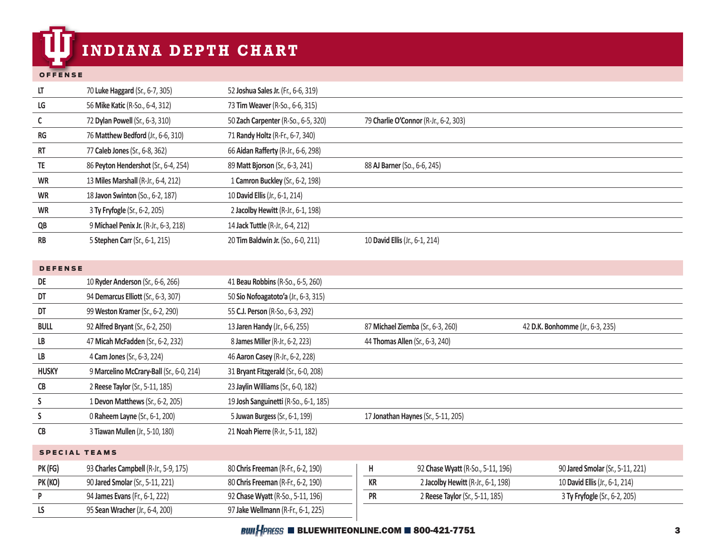# **INDIANA DEPTH CHART**

#### OFFENSE

| LT                   | 70 Luke Haggard (Sr., 6-7, 305)          | 52 Joshua Sales Jr. (Fr., 6-6, 319)   |                                                            |                                  |
|----------------------|------------------------------------------|---------------------------------------|------------------------------------------------------------|----------------------------------|
| LG                   | 56 Mike Katic (R-So., 6-4, 312)          | 73 Tim Weaver (R-So., 6-6, 315)       |                                                            |                                  |
| C                    | 72 Dylan Powell (Sr., 6-3, 310)          | 50 Zach Carpenter (R-So., 6-5, 320)   | 79 Charlie O'Connor (R-Jr., 6-2, 303)                      |                                  |
| <b>RG</b>            | 76 Matthew Bedford (Jr., 6-6, 310)       | 71 Randy Holtz (R-Fr., 6-7, 340)      |                                                            |                                  |
| RT                   | 77 Caleb Jones (Sr., 6-8, 362)           | 66 Aidan Rafferty (R-Jr., 6-6, 298)   |                                                            |                                  |
| TE                   | 86 Peyton Hendershot (Sr., 6-4, 254)     | 89 Matt Bjorson (Sr., 6-3, 241)       | 88 AJ Barner (So., 6-6, 245)                               |                                  |
| <b>WR</b>            | 13 Miles Marshall (R-Jr., 6-4, 212)      | 1 Camron Buckley (Sr., 6-2, 198)      |                                                            |                                  |
| <b>WR</b>            | 18 Javon Swinton (So., 6-2, 187)         | 10 David Ellis (Jr., 6-1, 214)        |                                                            |                                  |
| <b>WR</b>            | 3 Ty Fryfogle (Sr., 6-2, 205)            | 2 Jacolby Hewitt (R-Jr., 6-1, 198)    |                                                            |                                  |
| QB                   | 9 Michael Penix Jr. (R-Jr., 6-3, 218)    | 14 Jack Tuttle (R-Jr., 6-4, 212)      |                                                            |                                  |
| $\mathsf{RB}$        | 5 Stephen Carr (Sr., 6-1, 215)           | 20 Tim Baldwin Jr. (So., 6-0, 211)    | 10 David Ellis (Jr., 6-1, 214)                             |                                  |
|                      |                                          |                                       |                                                            |                                  |
| <b>DEFENSE</b>       |                                          |                                       |                                                            |                                  |
| DE                   | 10 Ryder Anderson (Sr., 6-6, 266)        | 41 Beau Robbins (R-So., 6-5, 260)     |                                                            |                                  |
| DT                   | 94 Demarcus Elliott (Sr., 6-3, 307)      | 50 Sio Nofoagatoto'a (Jr., 6-3, 315)  |                                                            |                                  |
| DT                   | 99 Weston Kramer (Sr., 6-2, 290)         | 55 C.J. Person (R-So., 6-3, 292)      |                                                            |                                  |
| <b>BULL</b>          | 92 Alfred Bryant (Sr., 6-2, 250)         | 13 Jaren Handy (Jr., 6-6, 255)        | 87 Michael Ziemba (Sr., 6-3, 260)                          | 42 D.K. Bonhomme (Jr., 6-3, 235) |
| LB                   | 47 Micah McFadden (Sr., 6-2, 232)        | 8 James Miller (R-Jr., 6-2, 223)      | 44 Thomas Allen (Sr., 6-3, 240)                            |                                  |
| LB                   | 4 Cam Jones (Sr., 6-3, 224)              | 46 Aaron Casey (R-Jr., 6-2, 228)      |                                                            |                                  |
| <b>HUSKY</b>         | 9 Marcelino McCrary-Ball (Sr., 6-0, 214) | 31 Bryant Fitzgerald (Sr., 6-0, 208)  |                                                            |                                  |
| ${\sf CB}$           | 2 Reese Taylor (Sr., 5-11, 185)          | 23 Jaylin Williams (Sr., 6-0, 182)    |                                                            |                                  |
| S                    | 1 Devon Matthews (Sr., 6-2, 205)         | 19 Josh Sanguinetti (R-So., 6-1, 185) |                                                            |                                  |
| S                    | 0 Raheem Layne (Sr., 6-1, 200)           | 5 Juwan Burgess (Sr., 6-1, 199)       | 17 Jonathan Haynes (Sr., 5-11, 205)                        |                                  |
| CB                   | 3 Tiawan Mullen (Jr., 5-10, 180)         | 21 Noah Pierre (R-Jr., 5-11, 182)     |                                                            |                                  |
| <b>SPECIAL TEAMS</b> |                                          |                                       |                                                            |                                  |
| PK (FG)              | 93 Charles Campbell (R-Jr., 5-9, 175)    | 80 Chris Freeman (R-Fr., 6-2, 190)    | Н<br>92 Chase Wyatt (R-So., 5-11, 196)                     | 90 Jared Smolar (Sr., 5-11, 221) |
| PK (KO)              | 90 Jared Smolar (Sr., 5-11, 221)         | 80 Chris Freeman (R-Fr., 6-2, 190)    | $\mathsf{KR}\xspace$<br>2 Jacolby Hewitt (R-Jr., 6-1, 198) | 10 David Ellis (Jr., 6-1, 214)   |
| P                    | 94 James Evans (Fr., 6-1, 222)           | 92 Chase Wyatt (R-So., 5-11, 196)     | <b>PR</b><br>2 Reese Taylor (Sr., 5-11, 185)               | 3 Ty Fryfogle (Sr., 6-2, 205)    |
| LS                   | 95 Sean Wracher (Jr., 6-4, 200)          | 97 Jake Wellmann (R-Fr., 6-1, 225)    |                                                            |                                  |